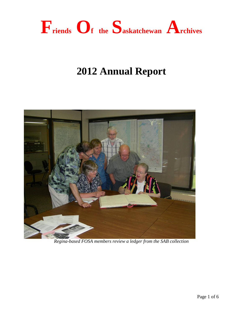

# **2012 Annual Report**



*Regina-based FOSA members review a ledger from the SAB collection*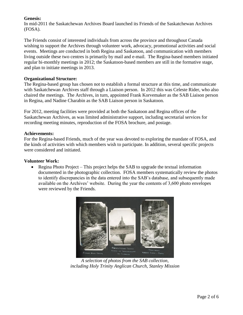## **Genesis:**

In mid-2011 the Saskatchewan Archives Board launched its Friends of the Saskatchewan Archives (FOSA).

The Friends consist of interested individuals from across the province and throughout Canada wishing to support the Archives through volunteer work, advocacy, promotional activities and social events. Meetings are conducted in both Regina and Saskatoon, and communication with members living outside these two centres is primarily by mail and e-mail. The Regina-based members initiated regular bi-monthly meetings in 2012; the Saskatoon-based members are still in the formative stage, and plan to initiate meetings in 2013.

## **Organizational Structure:**

The Regina-based group has chosen not to establish a formal structure at this time, and communicate with Saskatchewan Archives staff through a Liaison person. In 2012 this was Celeste Rider, who also chaired the meetings. The Archives, in turn, appointed Frank Korvemaker as the SAB Liaison person in Regina, and Nadine Charabin as the SAB Liaison person in Saskatoon.

For 2012, meeting facilities were provided at both the Saskatoon and Regina offices of the Saskatchewan Archives, as was limited administrative support, including secretarial services for recording meeting minutes, reproduction of the FOSA brochure, and postage.

#### **Achievements:**

For the Regina-based Friends, much of the year was devoted to exploring the mandate of FOSA, and the kinds of activities with which members wish to participate. In addition, several specific projects were considered and initiated.

## **Volunteer Work:**

• Regina Photo Project – This project helps the SAB to upgrade the textual information documented in the photographic collection. FOSA members systematically review the photos to identify discrepancies in the data entered into the SAB's database, and subsequently made available on the Archives' website. During the year the contents of 3,600 photo envelopes were reviewed by the Friends.



*A selection of photos from the SAB collection, including Holy Trinity Anglican Church, Stanley Mission*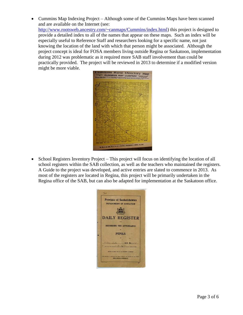Cummins Map Indexing Project – Although some of the Cummins Maps have been scanned and are available on the Internet (see:

[http://www.rootsweb.ancestry.com/~canmaps/Cummins/index.html\)](http://www.rootsweb.ancestry.com/~canmaps/Cummins/index.html) this project is designed to provide a detailed index to all of the names that appear on these maps. Such an index will be especially useful to Reference Staff and researchers looking for a specific name, not just knowing the location of the land with which that person might be associated. Although the project concept is ideal for FOSA members living outside Regina or Saskatoon, implementation during 2012 was problematic as it required more SAB staff involvement than could be practically provided. The project will be reviewed in 2013 to determine if a modified version might be more viable.



• School Registers Inventory Project – This project will focus on identifying the location of all school registers within the SAB collection, as well as the teachers who maintained the registers. A Guide to the project was developed, and active entries are slated to commence in 2013. As most of the registers are located in Regina, this project will be primarily undertaken in the Regina office of the SAB, but can also be adapted for implementation at the Saskatoon office.

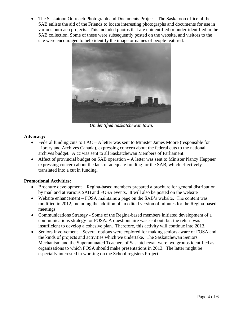• The Saskatoon Outreach Photograph and Documents Project - The Saskatoon office of the SAB enlists the aid of the Friends to locate interesting photographs and documents for use in various outreach projects. This included photos that are unidentified or under-identified in the SAB collection. Some of these were subsequently posted on the website, and visitors to the site were encouraged to help identify the image or names of people featured.



*Unidentified Saskatchewan town.*

## **Advocacy:**

- $\bullet$  Federal funding cuts to LAC A letter was sent to Minister James Moore (responsible for Library and Archives Canada), expressing concern about the federal cuts to the national archives budget. A cc was sent to all Saskatchewan Members of Parliament.
- Affect of provincial budget on SAB operation A letter was sent to Minister Nancy Heppner expressing concern about the lack of adequate funding for the SAB, which effectively translated into a cut in funding.

#### **Promotional Activities:**

- Brochure development Regina-based members prepared a brochure for general distribution by mail and at various SAB and FOSA events. It will also be posted on the website
- Website enhancement FOSA maintains a page on the SAB's website. The content was modified in 2012, including the addition of an edited version of minutes for the Regina-based meetings.
- Communications Strategy Some of the Regina-based members initiated development of a communications strategy for FOSA. A questionnaire was sent out, but the return was insufficient to develop a cohesive plan. Therefore, this activity will continue into 2013.
- Seniors Involvement Several options were explored for making seniors aware of FOSA and the kinds of projects and activities which we undertake. The Saskatchewan Seniors Mechanism and the Superannuated Teachers of Saskatchewan were two groups identified as organizations to which FOSA should make presentations in 2013. The latter might be especially interested in working on the School registers Project.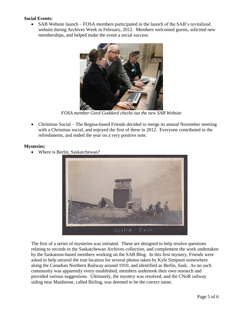## **Social Events:**

• SAB Website launch – FOSA members participated in the launch of the SAB's revitalized website during Archives Week in February, 2012. Members welcomed guests, solicited new memberships, and helped make the event a social success.



*FOSA member Gord Goddard checks out the new SAB Website*

 Christmas Social – The Regina-based Friends decided to merge its annual November meeting with a Christmas social, and enjoyed the first of these in 2012. Everyone contributed to the refreshments, and ended the year on a very positive note.

#### **Mysteries:**

Where is Berlin, Saskatchewan?



The first of a series of mysteries was initiated. These are designed to help resolve questions relating to records in the Saskatchewan Archives collection, and complement the work undertaken by the Saskatoon-based members working on the SAB Blog. In this first mystery, Friends were asked to help unravel the true location for several photos taken by Kyle Simpson somewhere along the Canadian Northern Railway around 1910, and identified as Berlin, Sask. As no such community was apparently every established, members undertook their own research and provided various suggestions. Ultimately, the mystery was resolved, and the CNoR railway siding near Maidstone, called Birling, was deemed to be the correct name.